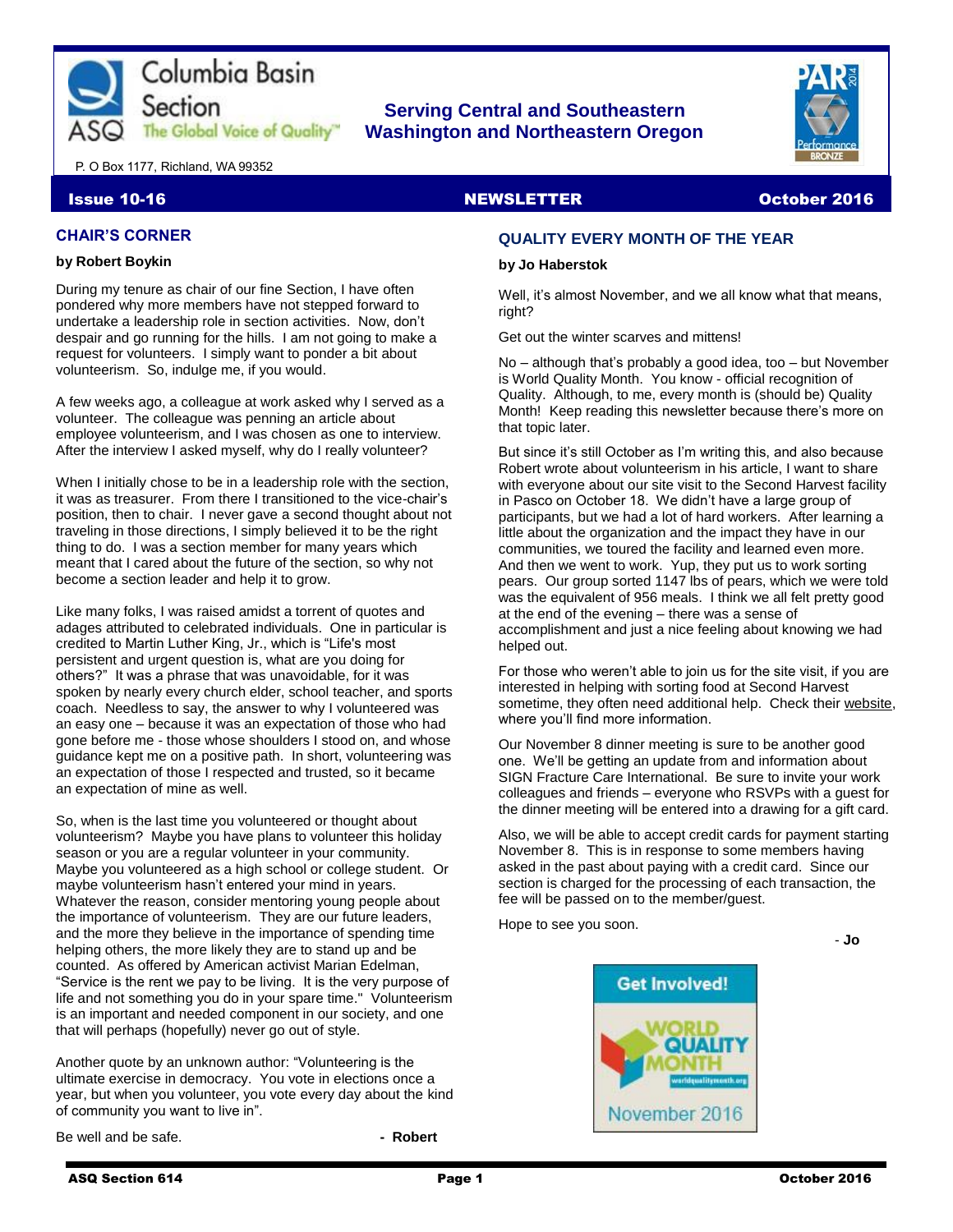

# **Serving Central and Southeastern The Global Voice of Quality | Washington and Northeastern Oregon**



P. O Box 1177, Richland, WA 99352

#### Issue 10-16 NEWSLETTER October 2016

# **CHAIR'S CORNER**

#### **by Robert Boykin**

During my tenure as chair of our fine Section, I have often pondered why more members have not stepped forward to undertake a leadership role in section activities. Now, don't despair and go running for the hills. I am not going to make a request for volunteers. I simply want to ponder a bit about volunteerism. So, indulge me, if you would.

A few weeks ago, a colleague at work asked why I served as a volunteer. The colleague was penning an article about employee volunteerism, and I was chosen as one to interview. After the interview I asked myself, why do I really volunteer?

When I initially chose to be in a leadership role with the section, it was as treasurer. From there I transitioned to the vice-chair's position, then to chair. I never gave a second thought about not traveling in those directions, I simply believed it to be the right thing to do. I was a section member for many years which meant that I cared about the future of the section, so why not become a section leader and help it to grow.

Like many folks, I was raised amidst a torrent of quotes and adages attributed to celebrated individuals. One in particular is credited to Martin Luther King, Jr., which is "Life's most persistent and urgent question is, what are you doing for others?" It was a phrase that was unavoidable, for it was spoken by nearly every church elder, school teacher, and sports coach. Needless to say, the answer to why I volunteered was an easy one – because it was an expectation of those who had gone before me - those whose shoulders I stood on, and whose guidance kept me on a positive path. In short, volunteering was an expectation of those I respected and trusted, so it became an expectation of mine as well.

So, when is the last time you volunteered or thought about volunteerism? Maybe you have plans to volunteer this holiday season or you are a regular volunteer in your community. Maybe you volunteered as a high school or college student. Or maybe volunteerism hasn't entered your mind in years. Whatever the reason, consider mentoring young people about the importance of volunteerism. They are our future leaders, and the more they believe in the importance of spending time helping others, the more likely they are to stand up and be counted. As offered by American activist Marian Edelman, "Service is the rent we pay to be living. It is the very purpose of life and not something you do in your spare time." Volunteerism is an important and needed component in our society, and one that will perhaps (hopefully) never go out of style.

Another quote by an unknown author: "Volunteering is the ultimate exercise in democracy. You vote in elections once a year, but when you volunteer, you vote every day about the kind of community you want to live in".

Be well and be safe. **- Robert - Robert** 

# **QUALITY EVERY MONTH OF THE YEAR**

#### **by Jo Haberstok**

Well, it's almost November, and we all know what that means, right?

Get out the winter scarves and mittens!

No – although that's probably a good idea, too – but November is World Quality Month. You know - official recognition of Quality. Although, to me, every month is (should be) Quality Month! Keep reading this newsletter because there's more on that topic later.

But since it's still October as I'm writing this, and also because Robert wrote about volunteerism in his article, I want to share with everyone about our site visit to the Second Harvest facility in Pasco on October 18. We didn't have a large group of participants, but we had a lot of hard workers. After learning a little about the organization and the impact they have in our communities, we toured the facility and learned even more. And then we went to work. Yup, they put us to work sorting pears. Our group sorted 1147 lbs of pears, which we were told was the equivalent of 956 meals. I think we all felt pretty good at the end of the evening – there was a sense of accomplishment and just a nice feeling about knowing we had helped out.

For those who weren't able to join us for the site visit, if you are interested in helping with sorting food at Second Harvest sometime, they often need additional help. Check thei[r website,](http://www.2-harvest.org/volunteer/) where you'll find more information.

Our November 8 dinner meeting is sure to be another good one. We'll be getting an update from and information about SIGN Fracture Care International. Be sure to invite your work colleagues and friends – everyone who RSVPs with a guest for the dinner meeting will be entered into a drawing for a gift card.

Also, we will be able to accept credit cards for payment starting November 8. This is in response to some members having asked in the past about paying with a credit card. Since our section is charged for the processing of each transaction, the fee will be passed on to the member/guest.

Hope to see you soon.

- **Jo**

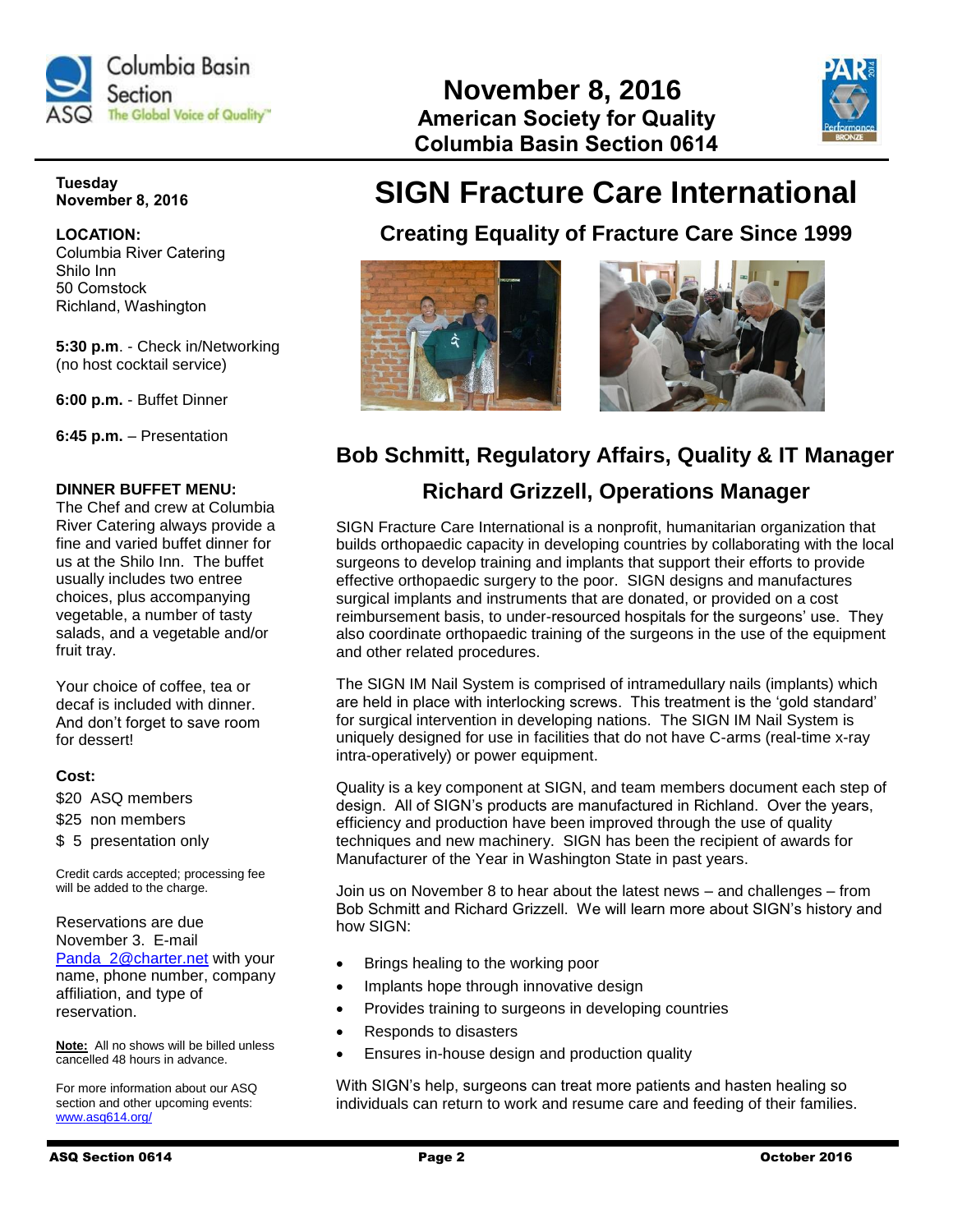

# **November 8, 2016 The Global Voice of Quality" American Society for Quality Columbia Basin Section 0614**



# **Tuesday November 8, 2016**

**LOCATION:** Columbia River Catering Shilo Inn 50 Comstock Richland, Washington

**5:30 p.m**. - Check in/Networking (no host cocktail service)

**6:00 p.m.** - Buffet Dinner

**6:45 p.m.** – Presentation

# **DINNER BUFFET MENU:**

The Chef and crew at Columbia River Catering always provide a fine and varied buffet dinner for us at the Shilo Inn. The buffet usually includes two entree choices, plus accompanying vegetable, a number of tasty salads, and a vegetable and/or fruit tray.

Your choice of coffee, tea or decaf is included with dinner. And don't forget to save room for dessert!

## **Cost:**

\$20 ASQ members

\$25 non members

\$ 5 presentation only

Credit cards accepted; processing fee will be added to the charge.

# Reservations are due

November 3. E-mail [Panda\\_2@charter.net](mailto:Panda_2@charter.net) with your name, phone number, company affiliation, and type of reservation.

**Note:** All no shows will be billed unless cancelled 48 hours in advance.

For more information about our ASQ section and other upcoming events: [www.asq614.org/](http://www.asq614.org/)

# **Creating Equality of Fracture Care Since 1999**





# **Bob Schmitt, Regulatory Affairs, Quality & IT Manager Richard Grizzell, Operations Manager**

SIGN Fracture Care International is a nonprofit, humanitarian organization that builds orthopaedic capacity in developing countries by collaborating with the local surgeons to develop training and implants that support their efforts to provide effective orthopaedic surgery to the poor. SIGN designs and manufactures surgical implants and instruments that are donated, or provided on a cost reimbursement basis, to under-resourced hospitals for the surgeons' use. They also coordinate orthopaedic training of the surgeons in the use of the equipment and other related procedures.

The SIGN IM Nail System is comprised of intramedullary nails (implants) which are held in place with interlocking screws. This treatment is the 'gold standard' for surgical intervention in developing nations. The SIGN IM Nail System is uniquely designed for use in facilities that do not have C-arms (real-time x-ray intra-operatively) or power equipment.

Quality is a key component at SIGN, and team members document each step of design. All of SIGN's products are manufactured in Richland. Over the years, efficiency and production have been improved through the use of quality techniques and new machinery. SIGN has been the recipient of awards for Manufacturer of the Year in Washington State in past years.

Join us on November 8 to hear about the latest news – and challenges – from Bob Schmitt and Richard Grizzell. We will learn more about SIGN's history and how SIGN:

- Brings healing to the working poor
- Implants hope through innovative design
- Provides training to surgeons in developing countries
- Responds to disasters
- Ensures in-house design and production quality

With SIGN's help, surgeons can treat more patients and hasten healing so individuals can return to work and resume care and feeding of their families.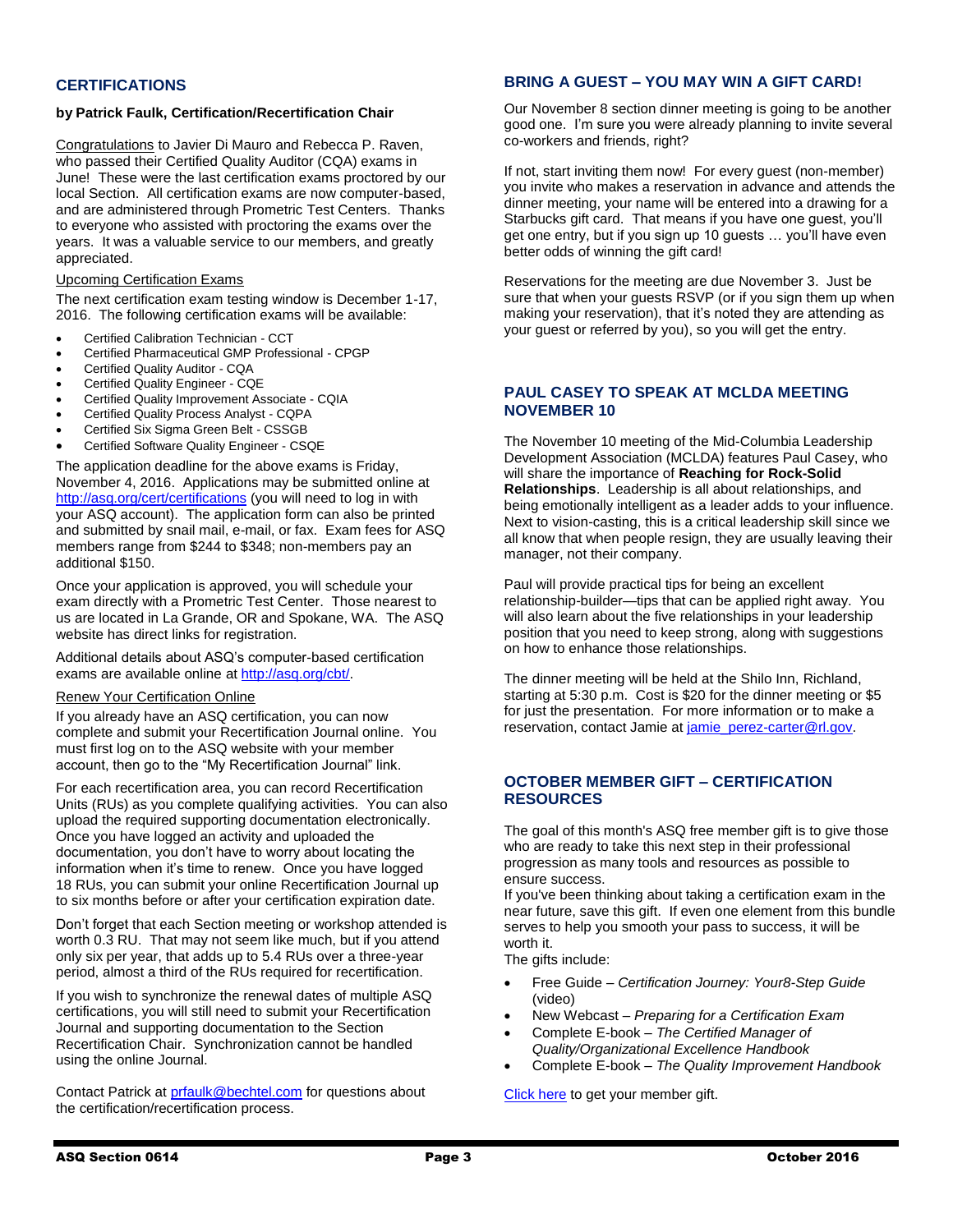## **CERTIFICATIONS**

#### **by Patrick Faulk, Certification/Recertification Chair**

Congratulations to Javier Di Mauro and Rebecca P. Raven, who passed their Certified Quality Auditor (CQA) exams in June! These were the last certification exams proctored by our local Section. All certification exams are now computer-based, and are administered through Prometric Test Centers. Thanks to everyone who assisted with proctoring the exams over the years. It was a valuable service to our members, and greatly appreciated.

#### Upcoming Certification Exams

The next certification exam testing window is December 1-17, 2016. The following certification exams will be available:

- Certified Calibration Technician CCT
- Certified Pharmaceutical GMP Professional CPGP
- Certified Quality Auditor CQA
- Certified Quality Engineer CQE
- Certified Quality Improvement Associate CQIA
- Certified Quality Process Analyst CQPA
- Certified Six Sigma Green Belt CSSGB
- Certified Software Quality Engineer CSQE

The application deadline for the above exams is Friday, November 4, 2016. Applications may be submitted online at <http://asq.org/cert/certifications> (you will need to log in with your ASQ account). The application form can also be printed and submitted by snail mail, e-mail, or fax. Exam fees for ASQ members range from \$244 to \$348; non-members pay an additional \$150.

Once your application is approved, you will schedule your exam directly with a Prometric Test Center. Those nearest to us are located in La Grande, OR and Spokane, WA. The ASQ website has direct links for registration.

Additional details about ASQ's computer-based certification exams are available online at [http://asq.org/cbt/.](http://asq.org/cbt/)

#### Renew Your Certification Online

If you already have an ASQ certification, you can now complete and submit your Recertification Journal online. You must first log on to the ASQ website with your member account, then go to the "My Recertification Journal" link.

For each recertification area, you can record Recertification Units (RUs) as you complete qualifying activities. You can also upload the required supporting documentation electronically. Once you have logged an activity and uploaded the documentation, you don't have to worry about locating the information when it's time to renew. Once you have logged 18 RUs, you can submit your online Recertification Journal up to six months before or after your certification expiration date.

Don't forget that each Section meeting or workshop attended is worth 0.3 RU. That may not seem like much, but if you attend only six per year, that adds up to 5.4 RUs over a three-year period, almost a third of the RUs required for recertification.

If you wish to synchronize the renewal dates of multiple ASQ certifications, you will still need to submit your Recertification Journal and supporting documentation to the Section Recertification Chair. Synchronization cannot be handled using the online Journal.

Contact Patrick at [prfaulk@bechtel.com](mailto:prfaulk@bechtel.com) for questions about the certification/recertification process.

## **BRING A GUEST – YOU MAY WIN A GIFT CARD!**

Our November 8 section dinner meeting is going to be another good one. I'm sure you were already planning to invite several co-workers and friends, right?

If not, start inviting them now! For every guest (non-member) you invite who makes a reservation in advance and attends the dinner meeting, your name will be entered into a drawing for a Starbucks gift card. That means if you have one guest, you'll get one entry, but if you sign up 10 guests … you'll have even better odds of winning the gift card!

Reservations for the meeting are due November 3. Just be sure that when your guests RSVP (or if you sign them up when making your reservation), that it's noted they are attending as your guest or referred by you), so you will get the entry.

## **PAUL CASEY TO SPEAK AT MCLDA MEETING NOVEMBER 10**

The November 10 meeting of the Mid-Columbia Leadership Development Association (MCLDA) features Paul Casey, who will share the importance of **Reaching for Rock-Solid Relationships**. Leadership is all about relationships, and being emotionally intelligent as a leader adds to your influence. Next to vision-casting, this is a critical leadership skill since we all know that when people resign, they are usually leaving their manager, not their company.

Paul will provide practical tips for being an excellent relationship-builder—tips that can be applied right away. You will also learn about the five relationships in your leadership position that you need to keep strong, along with suggestions on how to enhance those relationships.

The dinner meeting will be held at the Shilo Inn, Richland, starting at 5:30 p.m. Cost is \$20 for the dinner meeting or \$5 for just the presentation. For more information or to make a reservation, contact Jamie at jamie perez-carter@rl.gov.

## **OCTOBER MEMBER GIFT – CERTIFICATION RESOURCES**

The goal of this month's ASQ free member gift is to give those who are ready to take this next step in their professional progression as many tools and resources as possible to ensure success.

If you've been thinking about taking a certification exam in the near future, save this gift. If even one element from this bundle serves to help you smooth your pass to success, it will be worth it.

The gifts include:

- Free Guide *Certification Journey: Your8-Step Guide* (video)
- New Webcast *Preparing for a Certification Exam*
- Complete E-book *The Certified Manager of Quality/Organizational Excellence Handbook*
- Complete E-book *The Quality Improvement Handbook*

[Click here](http://asq.org/member-gift/index.html) to get your member gift.